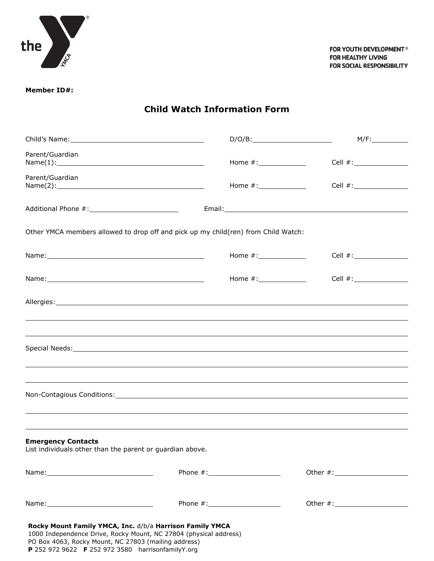

**Member ID#:**

**Child Watch Information Form**

|                                                                                                                                                                                                                                            |                         | M/F:         |
|--------------------------------------------------------------------------------------------------------------------------------------------------------------------------------------------------------------------------------------------|-------------------------|--------------|
| Parent/Guardian                                                                                                                                                                                                                            | Home #: _______________ |              |
| Parent/Guardian                                                                                                                                                                                                                            |                         |              |
|                                                                                                                                                                                                                                            |                         |              |
| Other YMCA members allowed to drop off and pick up my child(ren) from Child Watch:                                                                                                                                                         |                         |              |
|                                                                                                                                                                                                                                            |                         |              |
|                                                                                                                                                                                                                                            | Home $\#$ :             |              |
|                                                                                                                                                                                                                                            |                         |              |
|                                                                                                                                                                                                                                            |                         |              |
| Special Needs: Special Needs: Special Needs: Special Needs: Special Needs: Special Needs: Special Needs: Special Needs: Special Needs: Special Needs: Special Needs: Special Needs: Special Needs: Special Needs: Special Need             |                         |              |
|                                                                                                                                                                                                                                            |                         |              |
|                                                                                                                                                                                                                                            |                         |              |
|                                                                                                                                                                                                                                            |                         |              |
| <b>Emergency Contacts</b><br>List individuals other than the parent or guardian above.                                                                                                                                                     |                         |              |
|                                                                                                                                                                                                                                            |                         | Other $\#$ : |
|                                                                                                                                                                                                                                            |                         |              |
| Rocky Mount Family YMCA, Inc. d/b/a Harrison Family YMCA<br>1000 Independence Drive, Rocky Mount, NC 27804 (physical address)<br>PO Box 4063, Rocky Mount, NC 27803 (mailing address)<br>P 252 972 9622 F 252 972 3580 harrisonfamilyY.org |                         |              |